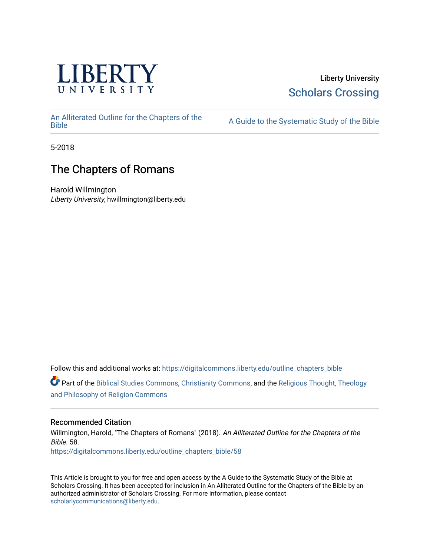

# Liberty University [Scholars Crossing](https://digitalcommons.liberty.edu/)

[An Alliterated Outline for the Chapters of the](https://digitalcommons.liberty.edu/outline_chapters_bible) 

A Guide to the Systematic Study of the [Bible](https://digitalcommons.liberty.edu/outline_chapters_bible)

5-2018

# The Chapters of Romans

Harold Willmington Liberty University, hwillmington@liberty.edu

Follow this and additional works at: [https://digitalcommons.liberty.edu/outline\\_chapters\\_bible](https://digitalcommons.liberty.edu/outline_chapters_bible?utm_source=digitalcommons.liberty.edu%2Foutline_chapters_bible%2F58&utm_medium=PDF&utm_campaign=PDFCoverPages)

Part of the [Biblical Studies Commons,](http://network.bepress.com/hgg/discipline/539?utm_source=digitalcommons.liberty.edu%2Foutline_chapters_bible%2F58&utm_medium=PDF&utm_campaign=PDFCoverPages) [Christianity Commons,](http://network.bepress.com/hgg/discipline/1181?utm_source=digitalcommons.liberty.edu%2Foutline_chapters_bible%2F58&utm_medium=PDF&utm_campaign=PDFCoverPages) and the [Religious Thought, Theology](http://network.bepress.com/hgg/discipline/544?utm_source=digitalcommons.liberty.edu%2Foutline_chapters_bible%2F58&utm_medium=PDF&utm_campaign=PDFCoverPages)  [and Philosophy of Religion Commons](http://network.bepress.com/hgg/discipline/544?utm_source=digitalcommons.liberty.edu%2Foutline_chapters_bible%2F58&utm_medium=PDF&utm_campaign=PDFCoverPages)

# Recommended Citation

Willmington, Harold, "The Chapters of Romans" (2018). An Alliterated Outline for the Chapters of the Bible. 58. [https://digitalcommons.liberty.edu/outline\\_chapters\\_bible/58](https://digitalcommons.liberty.edu/outline_chapters_bible/58?utm_source=digitalcommons.liberty.edu%2Foutline_chapters_bible%2F58&utm_medium=PDF&utm_campaign=PDFCoverPages) 

This Article is brought to you for free and open access by the A Guide to the Systematic Study of the Bible at Scholars Crossing. It has been accepted for inclusion in An Alliterated Outline for the Chapters of the Bible by an authorized administrator of Scholars Crossing. For more information, please contact [scholarlycommunications@liberty.edu.](mailto:scholarlycommunications@liberty.edu)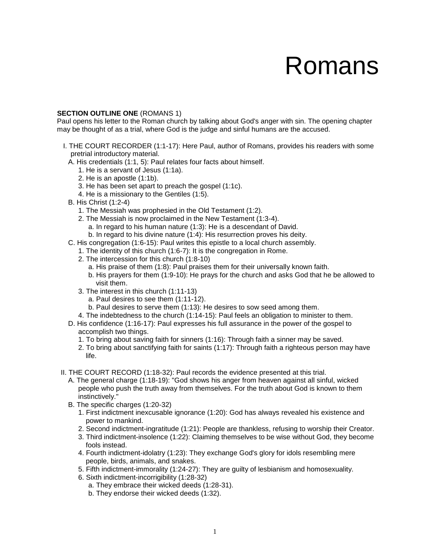# Romans

#### **SECTION OUTLINE ONE** (ROMANS 1)

Paul opens his letter to the Roman church by talking about God's anger with sin. The opening chapter may be thought of as a trial, where God is the judge and sinful humans are the accused.

- I. THE COURT RECORDER (1:1-17): Here Paul, author of Romans, provides his readers with some pretrial introductory material.
	- A. His credentials (1:1, 5): Paul relates four facts about himself.
		- 1. He is a servant of Jesus (1:1a).
		- 2. He is an apostle (1:1b).
		- 3. He has been set apart to preach the gospel (1:1c).
		- 4. He is a missionary to the Gentiles (1:5).
	- B. His Christ (1:2-4)
		- 1. The Messiah was prophesied in the Old Testament (1:2).
		- 2. The Messiah is now proclaimed in the New Testament (1:3-4). a. In regard to his human nature (1:3): He is a descendant of David.
			- b. In regard to his divine nature (1:4): His resurrection proves his deity.
	- C. His congregation (1:6-15): Paul writes this epistle to a local church assembly.
		- 1. The identity of this church (1:6-7): It is the congregation in Rome.
		- 2. The intercession for this church (1:8-10)
			- a. His praise of them (1:8): Paul praises them for their universally known faith.
			- b. His prayers for them (1:9-10): He prays for the church and asks God that he be allowed to visit them.
		- 3. The interest in this church (1:11-13)
			- a. Paul desires to see them (1:11-12).
			- b. Paul desires to serve them (1:13): He desires to sow seed among them.
		- 4. The indebtedness to the church (1:14-15): Paul feels an obligation to minister to them.
	- D. His confidence (1:16-17): Paul expresses his full assurance in the power of the gospel to accomplish two things.
		- 1. To bring about saving faith for sinners (1:16): Through faith a sinner may be saved.
		- 2. To bring about sanctifying faith for saints (1:17): Through faith a righteous person may have life.
- II. THE COURT RECORD (1:18-32): Paul records the evidence presented at this trial.
	- A. The general charge (1:18-19): "God shows his anger from heaven against all sinful, wicked people who push the truth away from themselves. For the truth about God is known to them instinctively."
	- B. The specific charges (1:20-32)
		- 1. First indictment inexcusable ignorance (1:20): God has always revealed his existence and power to mankind.
		- 2. Second indictment-ingratitude (1:21): People are thankless, refusing to worship their Creator.
		- 3. Third indictment-insolence (1:22): Claiming themselves to be wise without God, they become fools instead.
		- 4. Fourth indictment-idolatry (1:23): They exchange God's glory for idols resembling mere people, birds, animals, and snakes.
		- 5. Fifth indictment-immorality (1:24-27): They are guilty of lesbianism and homosexuality.
		- 6. Sixth indictment-incorrigibility (1:28-32)
			- a. They embrace their wicked deeds (1:28-31).
			- b. They endorse their wicked deeds (1:32).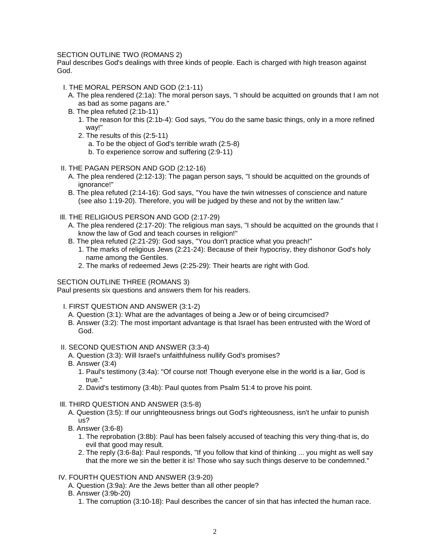# SECTION OUTLINE TWO (ROMANS 2)

Paul describes God's dealings with three kinds of people. Each is charged with high treason against God.

- I. THE MORAL PERSON AND GOD (2:1-11)
	- A. The plea rendered (2:1a): The moral person says, "I should be acquitted on grounds that I am not as bad as some pagans are."
	- B. The plea refuted (2:1b-11)
		- 1. The reason for this (2:1b-4): God says, "You do the same basic things, only in a more refined way!"
		- 2. The results of this (2:5-11)
			- a. To be the object of God's terrible wrath (2:5-8)
			- b. To experience sorrow and suffering (2:9-11)
- II. THE PAGAN PERSON AND GOD (2:12-16)
	- A. The plea rendered (2:12-13): The pagan person says, "I should be acquitted on the grounds of ignorance!"
	- B. The plea refuted (2:14-16): God says, "You have the twin witnesses of conscience and nature (see also 1:19-20). Therefore, you will be judged by these and not by the written law."
- Ill. THE RELIGIOUS PERSON AND GOD (2:17-29)
	- A. The plea rendered (2:17-20): The religious man says, "I should be acquitted on the grounds that I know the law of God and teach courses in religion!"
	- B. The plea refuted (2:21-29): God says, "You don't practice what you preach!"
		- 1. The marks of religious Jews (2:21-24): Because of their hypocrisy, they dishonor God's holy name among the Gentiles.
		- 2. The marks of redeemed Jews (2:25-29): Their hearts are right with God.

# SECTION OUTLINE THREE (ROMANS 3)

Paul presents six questions and answers them for his readers.

- I. FIRST QUESTION AND ANSWER (3:1-2)
	- A. Question (3:1): What are the advantages of being a Jew or of being circumcised?
	- B. Answer (3:2): The most important advantage is that Israel has been entrusted with the Word of God.
- II. SECOND QUESTION AND ANSWER (3:3-4)
	- A. Question (3:3): Will Israel's unfaithfulness nullify God's promises?
	- B. Answer (3:4)
		- 1. Paul's testimony (3:4a): "Of course not! Though everyone else in the world is a liar, God is true."
		- 2. David's testimony (3:4b): Paul quotes from Psalm 51:4 to prove his point.
- Ill. THIRD QUESTION AND ANSWER (3:5-8)
	- A. Question (3:5): If our unrighteousness brings out God's righteousness, isn't he unfair to punish us?
	- B. Answer (3:6-8)
		- 1. The reprobation (3:8b): Paul has been falsely accused of teaching this very thing-that is, do evil that good may result.
		- 2. The reply (3:6-8a): Paul responds, "If you follow that kind of thinking ... you might as well say that the more we sin the better it is! Those who say such things deserve to be condemned."

# IV. FOURTH QUESTION AND ANSWER (3:9-20)

- A. Question (3:9a): Are the Jews better than all other people?
- B. Answer (3:9b-20)
	- 1. The corruption (3:10-18): Paul describes the cancer of sin that has infected the human race.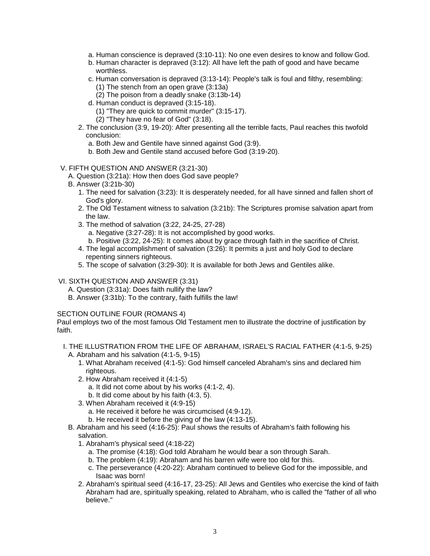- a. Human conscience is depraved (3:10-11): No one even desires to know and follow God.
- b. Human character is depraved (3:12): All have left the path of good and have became worthless.
- c. Human conversation is depraved (3:13-14): People's talk is foul and filthy, resembling: (1) The stench from an open grave (3:13a)
	- (2) The poison from a deadly snake (3:13b-14)
- d. Human conduct is depraved (3:15-18).
	- (1) "They are quick to commit murder" (3:15-17).
	- (2) "They have no fear of God" (3:18).
- 2. The conclusion (3:9, 19-20): After presenting all the terrible facts, Paul reaches this twofold conclusion:
	- a. Both Jew and Gentile have sinned against God (3:9).
	- b. Both Jew and Gentile stand accused before God (3:19-20).

# V. FIFTH QUESTION AND ANSWER (3:21-30)

- A. Question (3:21a): How then does God save people?
- B. Answer (3:21b-30)
	- 1. The need for salvation (3:23): It is desperately needed, for all have sinned and fallen short of God's glory.
	- 2. The Old Testament witness to salvation (3:21b): The Scriptures promise salvation apart from the law.
	- 3. The method of salvation (3:22, 24-25, 27-28)
		- a. Negative (3:27-28): It is not accomplished by good works.
		- b. Positive (3:22, 24-25): It comes about by grace through faith in the sacrifice of Christ.
	- 4. The legal accomplishment of salvation (3:26): It permits a just and holy God to declare repenting sinners righteous.
	- 5. The scope of salvation (3:29-30): It is available for both Jews and Gentiles alike.

#### VI. SIXTH QUESTION AND ANSWER (3:31)

- A. Question (3:31a): Does faith nullify the law?
- B. Answer (3:31b): To the contrary, faith fulfills the law!

# SECTION OUTLINE FOUR (ROMANS 4)

Paul employs two of the most famous Old Testament men to illustrate the doctrine of justification by faith.

#### I. THE ILLUSTRATION FROM THE LIFE OF ABRAHAM, ISRAEL'S RACIAL FATHER (4:1-5, 9-25) A. Abraham and his salvation (4:1-5, 9-15)

- 1. What Abraham received (4:1-5): God himself canceled Abraham's sins and declared him righteous.
- 2. How Abraham received it (4:1-5)
	- a. It did not come about by his works (4:1-2, 4).
	- b. It did come about by his faith (4:3, 5).
- 3. When Abraham received it (4:9-15)
	- a. He received it before he was circumcised (4:9-12).
	- b. He received it before the giving of the law (4:13-15).
- B. Abraham and his seed (4:16-25): Paul shows the results of Abraham's faith following his salvation.
	- 1. Abraham's physical seed (4:18-22)
		- a. The promise (4:18): God told Abraham he would bear a son through Sarah.
		- b. The problem (4:19): Abraham and his barren wife were too old for this.
		- c. The perseverance (4:20-22): Abraham continued to believe God for the impossible, and Isaac was born!
	- 2. Abraham's spiritual seed (4:16-17, 23-25): All Jews and Gentiles who exercise the kind of faith Abraham had are, spiritually speaking, related to Abraham, who is called the "father of all who believe."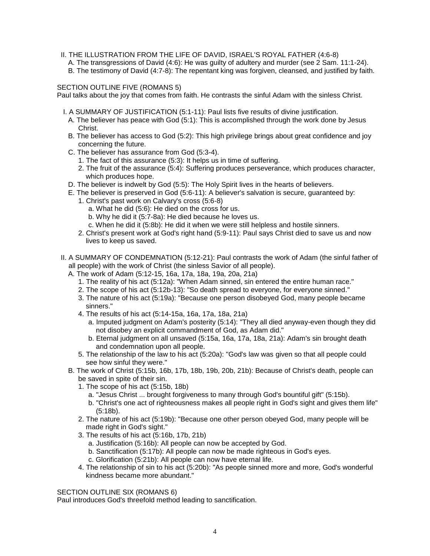- II. THE ILLUSTRATION FROM THE LIFE OF DAVID, ISRAEL'S ROYAL FATHER (4:6-8)
	- A. The transgressions of David (4:6): He was guilty of adultery and murder (see 2 Sam. 11:1-24).
	- B. The testimony of David (4:7-8): The repentant king was forgiven, cleansed, and justified by faith.

# SECTION OUTLINE FIVE (ROMANS 5)

Paul talks about the joy that comes from faith. He contrasts the sinful Adam with the sinless Christ.

- I. A SUMMARY OF JUSTIFICATION (5:1-11): Paul lists five results of divine justification.
	- A. The believer has peace with God (5:1): This is accomplished through the work done by Jesus Christ.
	- B. The believer has access to God (5:2): This high privilege brings about great confidence and joy concerning the future.
	- C. The believer has assurance from God (5:3-4).
		- 1. The fact of this assurance (5:3): It helps us in time of suffering.
		- 2. The fruit of the assurance (5:4): Suffering produces perseverance, which produces character, which produces hope.
	- D. The believer is indwelt by God (5:5): The Holy Spirit lives in the hearts of believers.
	- E. The believer is preserved in God (5:6-11): A believer's salvation is secure, guaranteed by:
		- 1. Christ's past work on Calvary's cross (5:6-8)
			- a. What he did (5:6): He died on the cross for us.
			- b. Why he did it (5:7-8a): He died because he loves us.
			- c. When he did it (5:8b): He did it when we were still helpless and hostile sinners.
		- 2. Christ's present work at God's right hand (5:9-11): Paul says Christ died to save us and now lives to keep us saved.
- II. A SUMMARY OF CONDEMNATION (5:12-21): Paul contrasts the work of Adam (the sinful father of all people) with the work of Christ (the sinless Savior of all people).
	- A. The work of Adam (5:12-15, 16a, 17a, 18a, 19a, 20a, 21a)
		- 1. The reality of his act (5:12a): "When Adam sinned, sin entered the entire human race."
		- 2. The scope of his act (5:12b-13): "So death spread to everyone, for everyone sinned."
		- 3. The nature of his act (5:19a): "Because one person disobeyed God, many people became sinners."
		- 4. The results of his act (5:14-15a, 16a, 17a, 18a, 21a)
			- a. Imputed judgment on Adam's posterity (5:14): "They all died anyway-even though they did not disobey an explicit commandment of God, as Adam did."
			- b. Eternal judgment on all unsaved (5:15a, 16a, 17a, 18a, 21a): Adam's sin brought death and condemnation upon all people.
		- 5. The relationship of the law to his act (5:20a): "God's law was given so that all people could see how sinful they were."
	- B. The work of Christ (5:15b, 16b, 17b, 18b, 19b, 20b, 21b): Because of Christ's death, people can be saved in spite of their sin.
		- 1. The scope of his act (5:15b, 18b)
			- a. "Jesus Christ ... brought forgiveness to many through God's bountiful gift" (5:15b).
			- b. "Christ's one act of righteousness makes all people right in God's sight and gives them life" (5:18b).
		- 2. The nature of his act (5:19b): "Because one other person obeyed God, many people will be made right in God's sight."
		- 3. The results of his act (5:16b, 17b, 21b)
			- a. Justification (5:16b): All people can now be accepted by God.
			- b. Sanctification (5:17b): All people can now be made righteous in God's eyes.
			- c. Glorification (5:21b): All people can now have eternal life.
		- 4. The relationship of sin to his act (5:20b): "As people sinned more and more, God's wonderful kindness became more abundant."

# SECTION OUTLINE SIX (ROMANS 6)

Paul introduces God's threefold method leading to sanctification.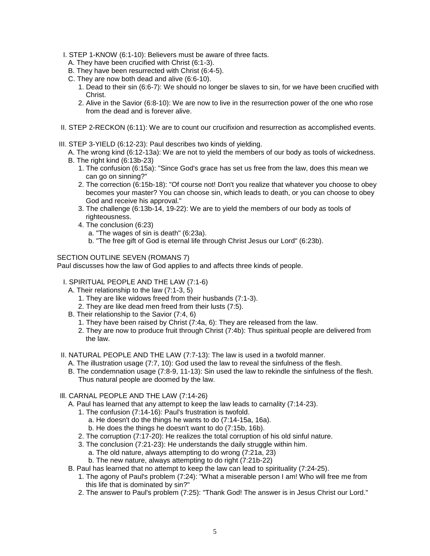- I. STEP 1-KNOW (6:1-10): Believers must be aware of three facts.
	- A. They have been crucified with Christ (6:1-3).
	- B. They have been resurrected with Christ (6:4-5).
	- C. They are now both dead and alive (6:6-10).
		- 1. Dead to their sin (6:6-7): We should no longer be slaves to sin, for we have been crucified with Christ.
		- 2. Alive in the Savior (6:8-10): We are now to live in the resurrection power of the one who rose from the dead and is forever alive.
- II. STEP 2-RECKON (6:11): We are to count our crucifixion and resurrection as accomplished events.
- III. STEP 3-YIELD (6:12-23): Paul describes two kinds of yielding.
	- A. The wrong kind (6:12-13a): We are not to yield the members of our body as tools of wickedness.
	- B. The right kind (6:13b-23)
		- 1. The confusion (6:15a): "Since God's grace has set us free from the law, does this mean we can go on sinning?"
		- 2. The correction (6:15b-18): "Of course not! Don't you realize that whatever you choose to obey becomes your master? You can choose sin, which leads to death, or you can choose to obey God and receive his approval."
		- 3. The challenge (6:13b-14, 19-22): We are to yield the members of our body as tools of righteousness.
		- 4. The conclusion (6:23)
			- a. "The wages of sin is death" (6:23a).
			- b. "The free gift of God is eternal life through Christ Jesus our Lord" (6:23b).

SECTION OUTLINE SEVEN (ROMANS 7)

Paul discusses how the law of God applies to and affects three kinds of people.

# I. SPIRITUAL PEOPLE AND THE LAW (7:1-6)

- A. Their relationship to the law (7:1-3, 5)
	- 1. They are like widows freed from their husbands (7:1-3).
	- 2. They are like dead men freed from their lusts (7:5).
- B. Their relationship to the Savior (7:4, 6)
	- 1. They have been raised by Christ (7:4a, 6): They are released from the law.
	- 2. They are now to produce fruit through Christ (7:4b): Thus spiritual people are delivered from the law.
- II. NATURAL PEOPLE AND THE LAW (7:7-13): The law is used in a twofold manner.
	- A. The illustration usage (7:7, 10): God used the law to reveal the sinfulness of the flesh.
	- B. The condemnation usage (7:8-9, 11-13): Sin used the law to rekindle the sinfulness of the flesh. Thus natural people are doomed by the law.
- Ill. CARNAL PEOPLE AND THE LAW (7:14-26)
	- A. Paul has learned that any attempt to keep the law leads to carnality (7:14-23).
		- 1. The confusion (7:14-16): Paul's frustration is twofold.
			- a. He doesn't do the things he wants to do (7:14-15a, 16a).
			- b. He does the things he doesn't want to do (7:15b, 16b).
		- 2. The corruption (7:17-20): He realizes the total corruption of his old sinful nature.
		- 3. The conclusion (7:21-23): He understands the daily struggle within him.
			- a. The old nature, always attempting to do wrong (7:21a, 23)
			- b. The new nature, always attempting to do right (7:21b-22)
	- B. Paul has learned that no attempt to keep the law can lead to spirituality (7:24-25).
		- 1. The agony of Paul's problem (7:24): "What a miserable person I am! Who will free me from this life that is dominated by sin?"
		- 2. The answer to Paul's problem (7:25): "Thank God! The answer is in Jesus Christ our Lord."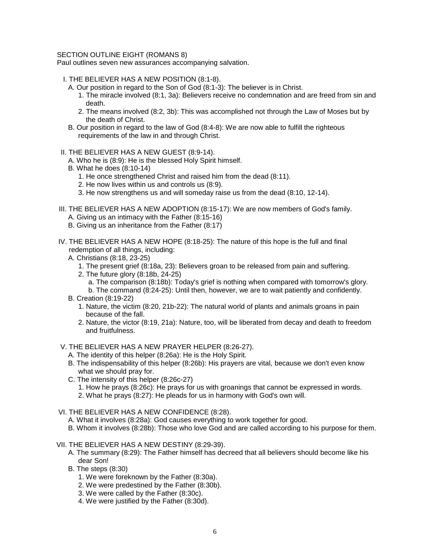#### SECTION OUTLINE EIGHT (ROMANS 8)

Paul outlines seven new assurances accompanying salvation.

- I. THE BELIEVER HAS A NEW POSITION (8:1-8).
	- A. Our position in regard to the Son of God (8:1-3): The believer is in Christ.
		- 1. The miracle involved (8:1, 3a): Believers receive no condemnation and are freed from sin and death.
		- 2. The means involved (8:2, 3b): This was accomplished not through the Law of Moses but by the death of Christ.
	- B. Our position in regard to the law of God (8:4-8): We are now able to fulfill the righteous requirements of the law in and through Christ.
- II. THE BELIEVER HAS A NEW GUEST (8:9-14).
	- A. Who he is (8:9): He is the blessed Holy Spirit himself.
	- B. What he does (8:10-14)
		- 1. He once strengthened Christ and raised him from the dead (8:11).
		- 2. He now lives within us and controls us (8:9).
		- 3. He now strengthens us and will someday raise us from the dead (8:10, 12-14).
- III. THE BELIEVER HAS A NEW ADOPTION (8:15-17): We are now members of God's family. A. Giving us an intimacy with the Father (8:15-16)
	- B. Giving us an inheritance from the Father (8:17)
- IV. THE BELIEVER HAS A NEW HOPE (8:18-25): The nature of this hope is the full and final redemption of all things, including:
	- A. Christians (8:18, 23-25)
		- 1. The present grief (8:18a, 23): Believers groan to be released from pain and suffering.
		- 2. The future glory (8:18b, 24-25)
			- a. The comparison (8:18b): Today's grief is nothing when compared with tomorrow's glory.
			- b. The command (8:24-25): Until then, however, we are to wait patiently and confidently.
	- B. Creation (8:19-22)
		- 1. Nature, the victim (8:20, 21b-22): The natural world of plants and animals groans in pain because of the fall.
		- 2. Nature, the victor (8:19, 21a): Nature, too, will be liberated from decay and death to freedom and fruitfulness.

V. THE BELIEVER HAS A NEW PRAYER HELPER (8:26-27).

- A. The identity of this helper (8:26a): He is the Holy Spirit.
- B. The indispensability of this helper (8:26b): His prayers are vital, because we don't even know what we should pray for.
- C. The intensity of this helper (8:26c-27)
	- 1. How he prays (8:26c): He prays for us with groanings that cannot be expressed in words.
	- 2. What he prays (8:27): He pleads for us in harmony with God's own will.

# VI. THE BELIEVER HAS A NEW CONFIDENCE (8:28).

- A. What it involves (8:28a): God causes everything to work together for good.
- B. Whom it involves (8:28b): Those who love God and are called according to his purpose for them.
- VII. THE BELIEVER HAS A NEW DESTINY (8:29-39).
	- A. The summary (8:29): The Father himself has decreed that all believers should become like his dear Son!
	- B. The steps (8:30)
		- 1. We were foreknown by the Father (8:30a).
		- 2. We were predestined by the Father (8:30b).
		- 3. We were called by the Father (8:30c).
		- 4. We were justified by the Father (8:30d).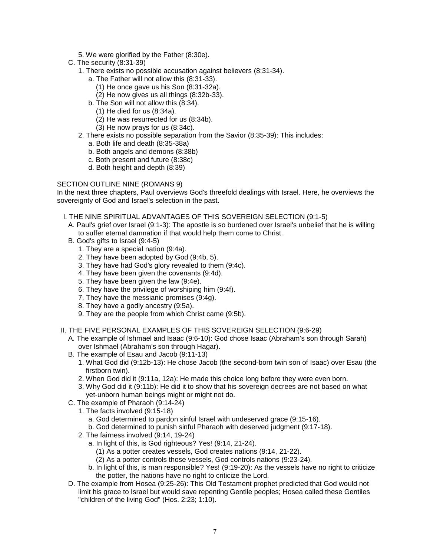- 5. We were glorified by the Father (8:30e).
- C. The security (8:31-39)
	- 1. There exists no possible accusation against believers (8:31-34).
		- a. The Father will not allow this (8:31-33).
			- (1) He once gave us his Son (8:31-32a).
			- (2) He now gives us all things (8:32b-33).
		- b. The Son will not allow this (8:34).
		- (1) He died for us (8:34a).
			- (2) He was resurrected for us (8:34b).
		- (3) He now prays for us (8:34c).
	- 2. There exists no possible separation from the Savior (8:35-39): This includes:
		- a. Both life and death (8:35-38a)
		- b. Both angels and demons (8:38b)
		- c. Both present and future (8:38c)
		- d. Both height and depth (8:39)

# SECTION OUTLINE NINE (ROMANS 9)

In the next three chapters, Paul overviews God's threefold dealings with Israel. Here, he overviews the sovereignty of God and Israel's selection in the past.

- I. THE NINE SPIRITUAL ADVANTAGES OF THIS SOVEREIGN SELECTION (9:1-5)
	- A. Paul's grief over Israel (9:1-3): The apostle is so burdened over Israel's unbelief that he is willing to suffer eternal damnation if that would help them come to Christ.
	- B. God's gifts to Israel (9:4-5)
		- 1. They are a special nation (9:4a).
		- 2. They have been adopted by God (9:4b, 5).
		- 3. They have had God's glory revealed to them (9:4c).
		- 4. They have been given the covenants (9:4d).
		- 5. They have been given the law (9:4e).
		- 6. They have the privilege of worshiping him (9:4f).
		- 7. They have the messianic promises (9:4g).
		- 8. They have a godly ancestry (9:5a).
		- 9. They are the people from which Christ came (9:5b).
- II. THE FIVE PERSONAL EXAMPLES OF THIS SOVEREIGN SELECTION (9:6-29)
	- A. The example of Ishmael and Isaac (9:6-10): God chose Isaac (Abraham's son through Sarah) over Ishmael (Abraham's son through Hagar).
	- B. The example of Esau and Jacob (9:11-13)
		- 1. What God did (9:12b-13): He chose Jacob (the second-born twin son of Isaac) over Esau (the firstborn twin).
		- 2. When God did it (9:11a, 12a): He made this choice long before they were even born.
		- 3. Why God did it (9:11b): He did it to show that his sovereign decrees are not based on what yet-unborn human beings might or might not do.
	- C. The example of Pharaoh (9:14-24)
		- 1. The facts involved (9:15-18)
			- a. God determined to pardon sinful Israel with undeserved grace (9:15-16).
			- b. God determined to punish sinful Pharaoh with deserved judgment (9:17-18).
		- 2. The fairness involved (9:14, 19-24)
			- a. In light of this, is God righteous? Yes! (9:14, 21-24).
				- (1) As a potter creates vessels, God creates nations (9:14, 21-22).
				- (2) As a potter controls those vessels, God controls nations (9:23-24).
			- b. In light of this, is man responsible? Yes! (9:19-20): As the vessels have no right to criticize the potter, the nations have no right to criticize the Lord.
	- D. The example from Hosea (9:25-26): This Old Testament prophet predicted that God would not limit his grace to Israel but would save repenting Gentile peoples; Hosea called these Gentiles "children of the living God" (Hos. 2:23; 1:10).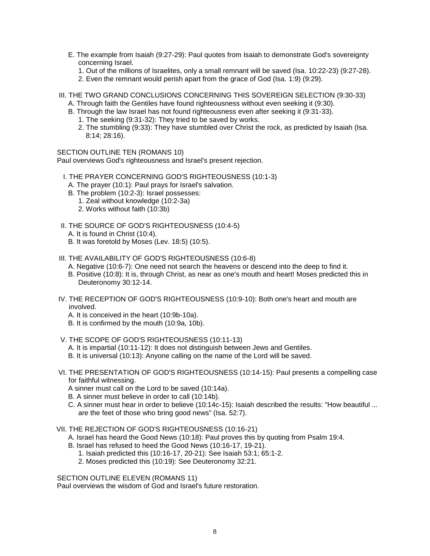- E. The example from Isaiah (9:27-29): Paul quotes from Isaiah to demonstrate God's sovereignty concerning Israel.
	- 1. Out of the millions of Israelites, only a small remnant will be saved (Isa. 10:22-23) (9:27-28).
	- 2. Even the remnant would perish apart from the grace of God (Isa. 1:9) (9:29).
- III. THE TWO GRAND CONCLUSIONS CONCERNING THIS SOVEREIGN SELECTION (9:30-33)
	- A. Through faith the Gentiles have found righteousness without even seeking it (9:30).
	- B. Through the law Israel has not found righteousness even after seeking it (9:31-33).
		- 1. The seeking (9:31-32): They tried to be saved by works.
		- 2. The stumbling (9:33): They have stumbled over Christ the rock, as predicted by Isaiah (Isa. 8:14; 28:16).

SECTION OUTLINE TEN (ROMANS 10)

Paul overviews God's righteousness and Israel's present rejection.

- I. THE PRAYER CONCERNING GOD'S RIGHTEOUSNESS (10:1-3)
	- A. The prayer (10:1): Paul prays for Israel's salvation.
	- B. The problem (10:2-3): Israel possesses:
		- 1. Zeal without knowledge (10:2-3a)
		- 2. Works without faith (10:3b)
- II. THE SOURCE OF GOD'S RIGHTEOUSNESS (10:4-5)
	- A. It is found in Christ (10:4).
	- B. It was foretold by Moses (Lev. 18:5) (10:5).
- III. THE AVAILABILITY OF GOD'S RIGHTEOUSNESS (10:6-8)
	- A. Negative (10:6-7): One need not search the heavens or descend into the deep to find it.
	- B. Positive (10:8): It is, through Christ, as near as one's mouth and heart! Moses predicted this in Deuteronomy 30:12-14.
- IV. THE RECEPTION OF GOD'S RIGHTEOUSNESS (10:9-10): Both one's heart and mouth are involved.
	- A. It is conceived in the heart (10:9b-10a).
	- B. It is confirmed by the mouth (10:9a, 10b).
- V. THE SCOPE OF GOD'S RIGHTEOUSNESS (10:11-13)
	- A. It is impartial (10:11-12): It does not distinguish between Jews and Gentiles.
	- B. It is universal (10:13): Anyone calling on the name of the Lord will be saved.
- VI. THE PRESENTATION OF GOD'S RIGHTEOUSNESS (10:14-15): Paul presents a compelling case for faithful witnessing.

A sinner must call on the Lord to be saved (10:14a).

- B. A sinner must believe in order to call (10:14b).
- C. A sinner must hear in order to believe (10:14c-15): Isaiah described the results: "How beautiful ... are the feet of those who bring good news" (Isa. 52:7).
- VII. THE REJECTION OF GOD'S RIGHTEOUSNESS (10:16-21)

A. Israel has heard the Good News (10:18): Paul proves this by quoting from Psalm 19:4.

- B. Israel has refused to heed the Good News (10:16-17, 19-21).
	- 1. Isaiah predicted this (10:16-17, 20-21): See Isaiah 53:1; 65:1-2.
	- 2. Moses predicted this (10:19): See Deuteronomy 32:21.

SECTION OUTLINE ELEVEN (ROMANS 11)

Paul overviews the wisdom of God and Israel's future restoration.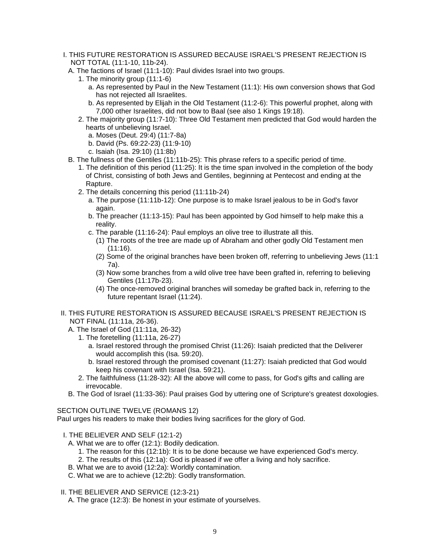- I. THIS FUTURE RESTORATION IS ASSURED BECAUSE ISRAEL'S PRESENT REJECTION IS NOT TOTAL (11:1-10, 11b-24).
	- A. The factions of Israel (11:1-10): Paul divides Israel into two groups.
		- 1. The minority group (11:1-6)
			- a. As represented by Paul in the New Testament (11:1): His own conversion shows that God has not rejected all Israelites.
			- b. As represented by Elijah in the Old Testament (11:2-6): This powerful prophet, along with 7,000 other Israelites, did not bow to Baal (see also 1 Kings 19:18).
		- 2. The majority group (11:7-10): Three Old Testament men predicted that God would harden the hearts of unbelieving Israel.
			- a. Moses (Deut. 29:4) (11:7-8a)
			- b. David (Ps. 69:22-23) (11:9-10)
			- c. Isaiah (Isa. 29:10) (11:8b)
	- B. The fullness of the Gentiles (11:11b-25): This phrase refers to a specific period of time.
		- 1. The definition of this period (11:25): It is the time span involved in the completion of the body of Christ, consisting of both Jews and Gentiles, beginning at Pentecost and ending at the Rapture.
		- 2. The details concerning this period (11:11b-24)
			- a. The purpose (11:11b-12): One purpose is to make Israel jealous to be in God's favor again.
			- b. The preacher (11:13-15): Paul has been appointed by God himself to help make this a reality.
			- c. The parable (11:16-24): Paul employs an olive tree to illustrate all this.
				- (1) The roots of the tree are made up of Abraham and other godly Old Testament men (11:16).
				- (2) Some of the original branches have been broken off, referring to unbelieving Jews (11:1 7a).
				- (3) Now some branches from a wild olive tree have been grafted in, referring to believing Gentiles (11:17b-23).
				- (4) The once-removed original branches will someday be grafted back in, referring to the future repentant Israel (11:24).
- II. THIS FUTURE RESTORATION IS ASSURED BECAUSE ISRAEL'S PRESENT REJECTION IS NOT FINAL (11:11a, 26-36).
	- A. The Israel of God (11:11a, 26-32)
		- 1. The foretelling (11:11a, 26-27)
			- a. Israel restored through the promised Christ (11:26): Isaiah predicted that the Deliverer would accomplish this (Isa. 59:20).
			- b. Israel restored through the promised covenant (11:27): Isaiah predicted that God would keep his covenant with Israel (Isa. 59:21).
		- 2. The faithfulness (11:28-32): All the above will come to pass, for God's gifts and calling are irrevocable.
	- B. The God of Israel (11:33-36): Paul praises God by uttering one of Scripture's greatest doxologies.

SECTION OUTLINE TWELVE (ROMANS 12)

Paul urges his readers to make their bodies living sacrifices for the glory of God.

- I. THE BELIEVER AND SELF (12:1-2)
	- A. What we are to offer (12:1): Bodily dedication.
		- 1. The reason for this (12:1b): It is to be done because we have experienced God's mercy.
		- 2. The results of this (12:1a): God is pleased if we offer a living and holy sacrifice.
	- B. What we are to avoid (12:2a): Worldly contamination.
	- C. What we are to achieve (12:2b): Godly transformation.
- II. THE BELIEVER AND SERVICE (12:3-21)
	- A. The grace (12:3): Be honest in your estimate of yourselves.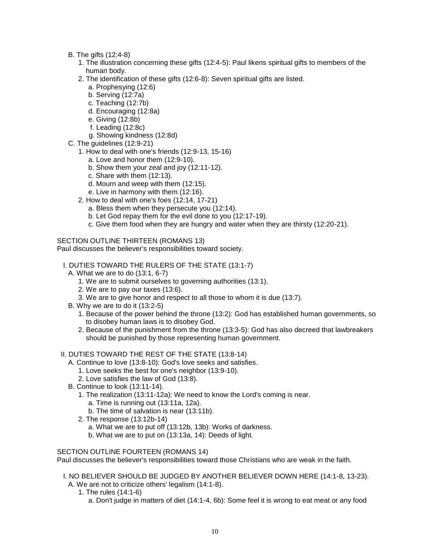- B. The gifts (12:4-8)
	- 1. The illustration concerning these gifts (12:4-5): Paul likens spiritual gifts to members of the human body.
	- 2. The identification of these gifts (12:6-8): Seven spiritual gifts are listed.
		- a. Prophesying (12:6)
		- b. Serving (12:7a)
		- c. Teaching (12:7b)
		- d. Encouraging (12:8a)
		- e. Giving (12:8b)
		- f. Leading (12:8c)
		- g. Showing kindness (12:8d)
- C. The guidelines (12:9-21)
	- 1. How to deal with one's friends (12:9-13, 15-16)
		- a. Love and honor them (12:9-10).
			- b. Show them your zeal and joy (12:11-12).
			- c. Share with them (12:13).
			- d. Mourn and weep with them (12:15).
			- e. Live in harmony with them (12:16).
	- 2. How to deal with one's foes (12:14, 17-21)
		- a. Bless them when they persecute you (12:14).
		- b. Let God repay them for the evil done to you (12:17-19).
		- c. Give them food when they are hungry and water when they are thirsty (12:20-21).

SECTION OUTLINE THIRTEEN (ROMANS 13)

Paul discusses the believer's responsibilities toward society.

- I. DUTIES TOWARD THE RULERS OF THE STATE (13:1-7)
	- A. What we are to do (13:1, 6-7)
		- 1. We are to submit ourselves to governing authorities (13:1).
		- 2. We are to pay our taxes (13:6).
		- 3. We are to give honor and respect to all those to whom it is due (13:7).
	- B. Why we are to do it (13:2-5)
		- 1. Because of the power behind the throne (13:2): God has established human governments, so to disobey human laws is to disobey God.
		- 2. Because of the punishment from the throne (13:3-5): God has also decreed that lawbreakers should be punished by those representing human government.

# II. DUTIES TOWARD THE REST OF THE STATE (13:8-14)

- A. Continue to love (13:8-10): God's love seeks and satisfies.
	- 1. Love seeks the best for one's neighbor (13:9-10).
	- 2. Love satisfies the law of God (13:8).
- B. Continue to look (13:11-14).
	- 1. The realization (13:11-12a): We need to know the Lord's coming is near.
		- a. Time is running out (13:11a, 12a).
		- b. The time of salvation is near (13:11b).
	- 2. The response (13:12b-14)
		- a. What we are to put off (13:12b, 13b): Works of darkness.
		- b. What we are to put on (13:13a, 14): Deeds of light.

# SECTION OUTLINE FOURTEEN (ROMANS 14)

Paul discusses the believer's responsibilities toward those Christians who are weak in the faith.

- I. NO BELIEVER SHOULD BE JUDGED BY ANOTHER BELIEVER DOWN HERE (14:1-8, 13-23). A. We are not to criticize others' legalism (14:1-8).
	- 1. The rules (14:1-6)
		- a. Don't judge in matters of diet (14:1-4, 6b): Some feel it is wrong to eat meat or any food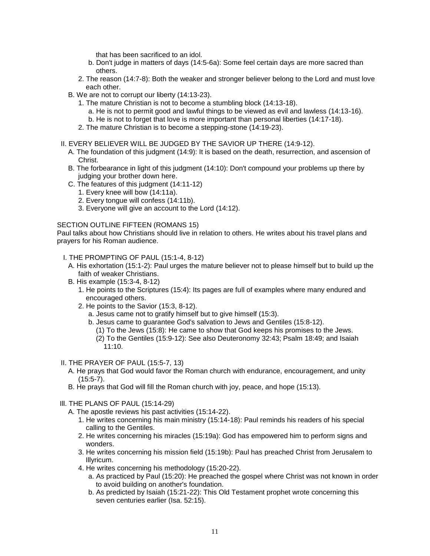that has been sacrificed to an idol.

- b. Don't judge in matters of days (14:5-6a): Some feel certain days are more sacred than others.
- 2. The reason (14:7-8): Both the weaker and stronger believer belong to the Lord and must love each other.
- B. We are not to corrupt our liberty (14:13-23).
	- 1. The mature Christian is not to become a stumbling block (14:13-18).
		- a. He is not to permit good and lawful things to be viewed as evil and lawless (14:13-16).
		- b. He is not to forget that love is more important than personal liberties (14:17-18).
	- 2. The mature Christian is to become a stepping-stone (14:19-23).

# II. EVERY BELIEVER WILL BE JUDGED BY THE SAVIOR UP THERE (14:9-12).

- A. The foundation of this judgment (14:9): It is based on the death, resurrection, and ascension of Christ.
- B. The forbearance in light of this judgment (14:10): Don't compound your problems up there by judging your brother down here.
- C. The features of this judgment (14:11-12)
	- 1. Every knee will bow (14:11a).
	- 2. Every tongue will confess (14:11b).
	- 3. Everyone will give an account to the Lord (14:12).

# SECTION OUTLINE FIFTEEN (ROMANS 15)

Paul talks about how Christians should live in relation to others. He writes about his travel plans and prayers for his Roman audience.

I. THE PROMPTING OF PAUL (15:1-4, 8-12)

- A. His exhortation (15:1-2): Paul urges the mature believer not to please himself but to build up the faith of weaker Christians.
- B. His example (15:3-4, 8-12)
	- 1. He points to the Scriptures (15:4): Its pages are full of examples where many endured and encouraged others.
	- 2. He points to the Savior (15:3, 8-12).
		- a. Jesus came not to gratify himself but to give himself (15:3).
		- b. Jesus came to guarantee God's salvation to Jews and Gentiles (15:8-12).
		- (1) To the Jews (15:8): He came to show that God keeps his promises to the Jews.
		- (2) To the Gentiles (15:9-12): See also Deuteronomy 32:43; Psalm 18:49; and Isaiah 11:10.
- II. THE PRAYER OF PAUL (15:5-7, 13)
	- A. He prays that God would favor the Roman church with endurance, encouragement, and unity (15:5-7).
	- B. He prays that God will fill the Roman church with joy, peace, and hope (15:13).
- Ill. THE PLANS OF PAUL (15:14-29)
	- A. The apostle reviews his past activities (15:14-22).
		- 1. He writes concerning his main ministry (15:14-18): Paul reminds his readers of his special calling to the Gentiles.
		- 2. He writes concerning his miracles (15:19a): God has empowered him to perform signs and wonders.
		- 3. He writes concerning his mission field (15:19b): Paul has preached Christ from Jerusalem to Illyricum.
		- 4. He writes concerning his methodology (15:20-22).
			- a. As practiced by Paul (15:20): He preached the gospel where Christ was not known in order to avoid building on another's foundation.
			- b. As predicted by Isaiah (15:21-22): This Old Testament prophet wrote concerning this seven centuries earlier (Isa. 52:15).